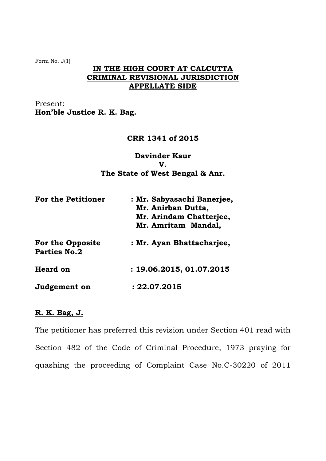Form No. J(1)

## **IN THE HIGH COURT AT CALCUTTA CRIMINAL REVISIONAL JURISDICTION APPELLATE SIDE**

Present: **Hon'ble Justice R. K. Bag.** 

# **CRR 1341 of 2015**

### **Davinder Kaur V. The State of West Bengal & Anr.**

| <b>For the Petitioner</b>                      | : Mr. Sabyasachi Banerjee,<br>Mr. Anirban Dutta,<br>Mr. Arindam Chatterjee,<br>Mr. Amritam Mandal, |
|------------------------------------------------|----------------------------------------------------------------------------------------------------|
| <b>For the Opposite</b><br><b>Parties No.2</b> | : Mr. Ayan Bhattacharjee,                                                                          |
| <b>Heard on</b>                                | : 19.06.2015, 01.07.2015                                                                           |
| Judgement on                                   | : 22.07.2015                                                                                       |

### **R. K. Bag, J.**

The petitioner has preferred this revision under Section 401 read with Section 482 of the Code of Criminal Procedure, 1973 praying for quashing the proceeding of Complaint Case No.C-30220 of 2011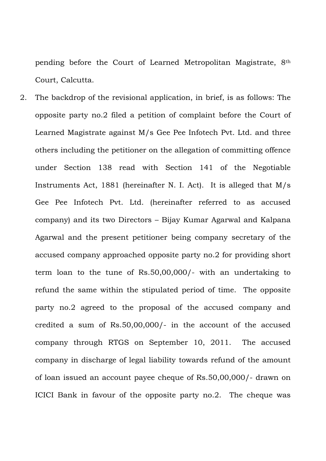pending before the Court of Learned Metropolitan Magistrate, 8th Court, Calcutta.

2. The backdrop of the revisional application, in brief, is as follows: The opposite party no.2 filed a petition of complaint before the Court of Learned Magistrate against M/s Gee Pee Infotech Pvt. Ltd. and three others including the petitioner on the allegation of committing offence under Section 138 read with Section 141 of the Negotiable Instruments Act, 1881 (hereinafter N. I. Act). It is alleged that M/s Gee Pee Infotech Pvt. Ltd. (hereinafter referred to as accused company) and its two Directors – Bijay Kumar Agarwal and Kalpana Agarwal and the present petitioner being company secretary of the accused company approached opposite party no.2 for providing short term loan to the tune of Rs.50,00,000/- with an undertaking to refund the same within the stipulated period of time. The opposite party no.2 agreed to the proposal of the accused company and credited a sum of Rs.50,00,000/- in the account of the accused company through RTGS on September 10, 2011. The accused company in discharge of legal liability towards refund of the amount of loan issued an account payee cheque of Rs.50,00,000/- drawn on ICICI Bank in favour of the opposite party no.2. The cheque was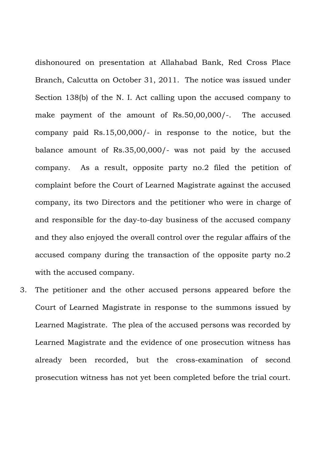dishonoured on presentation at Allahabad Bank, Red Cross Place Branch, Calcutta on October 31, 2011. The notice was issued under Section 138(b) of the N. I. Act calling upon the accused company to make payment of the amount of Rs.50,00,000/-. The accused company paid Rs.15,00,000/- in response to the notice, but the balance amount of Rs.35,00,000/- was not paid by the accused company. As a result, opposite party no.2 filed the petition of complaint before the Court of Learned Magistrate against the accused company, its two Directors and the petitioner who were in charge of and responsible for the day-to-day business of the accused company and they also enjoyed the overall control over the regular affairs of the accused company during the transaction of the opposite party no.2 with the accused company.

3. The petitioner and the other accused persons appeared before the Court of Learned Magistrate in response to the summons issued by Learned Magistrate. The plea of the accused persons was recorded by Learned Magistrate and the evidence of one prosecution witness has already been recorded, but the cross-examination of second prosecution witness has not yet been completed before the trial court.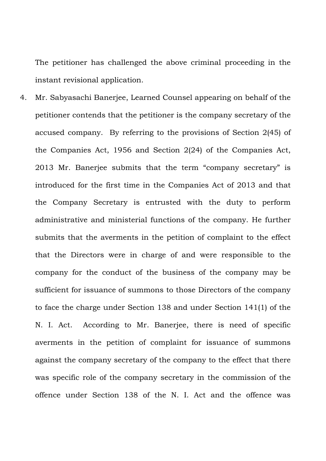The petitioner has challenged the above criminal proceeding in the instant revisional application.

4. Mr. Sabyasachi Banerjee, Learned Counsel appearing on behalf of the petitioner contends that the petitioner is the company secretary of the accused company. By referring to the provisions of Section 2(45) of the Companies Act, 1956 and Section 2(24) of the Companies Act, 2013 Mr. Banerjee submits that the term "company secretary" is introduced for the first time in the Companies Act of 2013 and that the Company Secretary is entrusted with the duty to perform administrative and ministerial functions of the company. He further submits that the averments in the petition of complaint to the effect that the Directors were in charge of and were responsible to the company for the conduct of the business of the company may be sufficient for issuance of summons to those Directors of the company to face the charge under Section 138 and under Section 141(1) of the N. I. Act. According to Mr. Banerjee, there is need of specific averments in the petition of complaint for issuance of summons against the company secretary of the company to the effect that there was specific role of the company secretary in the commission of the offence under Section 138 of the N. I. Act and the offence was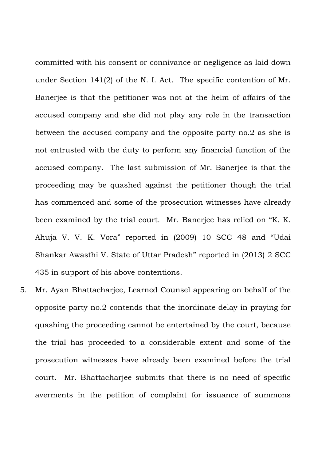committed with his consent or connivance or negligence as laid down under Section 141(2) of the N. I. Act. The specific contention of Mr. Banerjee is that the petitioner was not at the helm of affairs of the accused company and she did not play any role in the transaction between the accused company and the opposite party no.2 as she is not entrusted with the duty to perform any financial function of the accused company. The last submission of Mr. Banerjee is that the proceeding may be quashed against the petitioner though the trial has commenced and some of the prosecution witnesses have already been examined by the trial court. Mr. Banerjee has relied on "K. K. Ahuja V. V. K. Vora" reported in (2009) 10 SCC 48 and "Udai Shankar Awasthi V. State of Uttar Pradesh" reported in (2013) 2 SCC 435 in support of his above contentions.

5. Mr. Ayan Bhattacharjee, Learned Counsel appearing on behalf of the opposite party no.2 contends that the inordinate delay in praying for quashing the proceeding cannot be entertained by the court, because the trial has proceeded to a considerable extent and some of the prosecution witnesses have already been examined before the trial court. Mr. Bhattacharjee submits that there is no need of specific averments in the petition of complaint for issuance of summons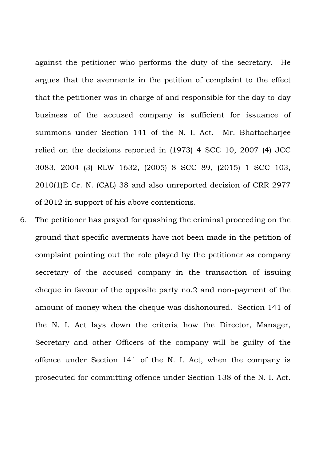against the petitioner who performs the duty of the secretary. He argues that the averments in the petition of complaint to the effect that the petitioner was in charge of and responsible for the day-to-day business of the accused company is sufficient for issuance of summons under Section 141 of the N. I. Act. Mr. Bhattacharjee relied on the decisions reported in (1973) 4 SCC 10, 2007 (4) JCC 3083, 2004 (3) RLW 1632, (2005) 8 SCC 89, (2015) 1 SCC 103, 2010(1)E Cr. N. (CAL) 38 and also unreported decision of CRR 2977 of 2012 in support of his above contentions.

6. The petitioner has prayed for quashing the criminal proceeding on the ground that specific averments have not been made in the petition of complaint pointing out the role played by the petitioner as company secretary of the accused company in the transaction of issuing cheque in favour of the opposite party no.2 and non-payment of the amount of money when the cheque was dishonoured. Section 141 of the N. I. Act lays down the criteria how the Director, Manager, Secretary and other Officers of the company will be guilty of the offence under Section 141 of the N. I. Act, when the company is prosecuted for committing offence under Section 138 of the N. I. Act.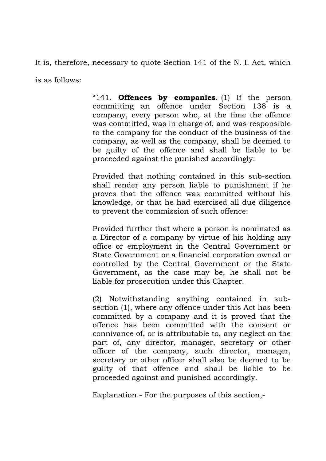It is, therefore, necessary to quote Section 141 of the N. I. Act, which

is as follows:

"141. **Offences by companies**.-(1) If the person committing an offence under Section 138 is a company, every person who, at the time the offence was committed, was in charge of, and was responsible to the company for the conduct of the business of the company, as well as the company, shall be deemed to be guilty of the offence and shall be liable to be proceeded against the punished accordingly:

Provided that nothing contained in this sub-section shall render any person liable to punishment if he proves that the offence was committed without his knowledge, or that he had exercised all due diligence to prevent the commission of such offence:

Provided further that where a person is nominated as a Director of a company by virtue of his holding any office or employment in the Central Government or State Government or a financial corporation owned or controlled by the Central Government or the State Government, as the case may be, he shall not be liable for prosecution under this Chapter.

(2) Notwithstanding anything contained in subsection (1), where any offence under this Act has been committed by a company and it is proved that the offence has been committed with the consent or connivance of, or is attributable to, any neglect on the part of, any director, manager, secretary or other officer of the company, such director, manager, secretary or other officer shall also be deemed to be guilty of that offence and shall be liable to be proceeded against and punished accordingly.

Explanation.- For the purposes of this section,-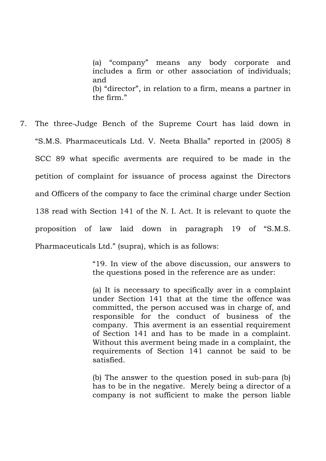(a) "company" means any body corporate and includes a firm or other association of individuals; and (b) "director", in relation to a firm, means a partner in the firm."

7. The three-Judge Bench of the Supreme Court has laid down in "S.M.S. Pharmaceuticals Ltd. V. Neeta Bhalla" reported in (2005) 8 SCC 89 what specific averments are required to be made in the petition of complaint for issuance of process against the Directors and Officers of the company to face the criminal charge under Section 138 read with Section 141 of the N. I. Act. It is relevant to quote the proposition of law laid down in paragraph 19 of "S.M.S. Pharmaceuticals Ltd." (supra), which is as follows:

> "19. In view of the above discussion, our answers to the questions posed in the reference are as under:

> (a) It is necessary to specifically aver in a complaint under Section 141 that at the time the offence was committed, the person accused was in charge of, and responsible for the conduct of business of the company. This averment is an essential requirement of Section 141 and has to be made in a complaint. Without this averment being made in a complaint, the requirements of Section 141 cannot be said to be satisfied.

> (b) The answer to the question posed in sub-para (b) has to be in the negative. Merely being a director of a company is not sufficient to make the person liable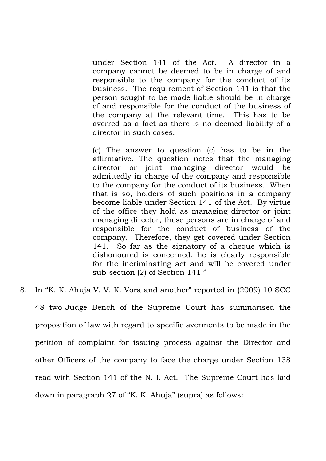under Section 141 of the Act. A director in a company cannot be deemed to be in charge of and responsible to the company for the conduct of its business. The requirement of Section 141 is that the person sought to be made liable should be in charge of and responsible for the conduct of the business of the company at the relevant time. This has to be averred as a fact as there is no deemed liability of a director in such cases.

(c) The answer to question (c) has to be in the affirmative. The question notes that the managing director or joint managing director would be admittedly in charge of the company and responsible to the company for the conduct of its business. When that is so, holders of such positions in a company become liable under Section 141 of the Act. By virtue of the office they hold as managing director or joint managing director, these persons are in charge of and responsible for the conduct of business of the company. Therefore, they get covered under Section 141. So far as the signatory of a cheque which is dishonoured is concerned, he is clearly responsible for the incriminating act and will be covered under sub-section (2) of Section 141."

8. In "K. K. Ahuja V. V. K. Vora and another" reported in (2009) 10 SCC 48 two-Judge Bench of the Supreme Court has summarised the proposition of law with regard to specific averments to be made in the petition of complaint for issuing process against the Director and other Officers of the company to face the charge under Section 138 read with Section 141 of the N. I. Act. The Supreme Court has laid down in paragraph 27 of "K. K. Ahuja" (supra) as follows: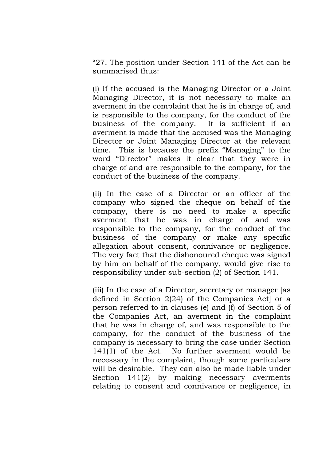"27. The position under Section 141 of the Act can be summarised thus:

(i) If the accused is the Managing Director or a Joint Managing Director, it is not necessary to make an averment in the complaint that he is in charge of, and is responsible to the company, for the conduct of the business of the company. It is sufficient if an averment is made that the accused was the Managing Director or Joint Managing Director at the relevant time. This is because the prefix "Managing" to the word "Director" makes it clear that they were in charge of and are responsible to the company, for the conduct of the business of the company.

(ii) In the case of a Director or an officer of the company who signed the cheque on behalf of the company, there is no need to make a specific averment that he was in charge of and was responsible to the company, for the conduct of the business of the company or make any specific allegation about consent, connivance or negligence. The very fact that the dishonoured cheque was signed by him on behalf of the company, would give rise to responsibility under sub-section (2) of Section 141.

(iii) In the case of a Director, secretary or manager [as defined in Section 2(24) of the Companies Act] or a person referred to in clauses (e) and (f) of Section 5 of the Companies Act, an averment in the complaint that he was in charge of, and was responsible to the company, for the conduct of the business of the company is necessary to bring the case under Section 141(1) of the Act. No further averment would be necessary in the complaint, though some particulars will be desirable. They can also be made liable under Section 141(2) by making necessary averments relating to consent and connivance or negligence, in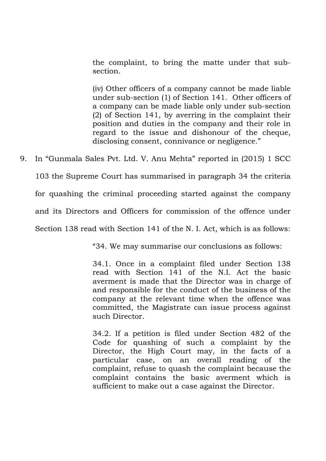the complaint, to bring the matte under that subsection.

(iv) Other officers of a company cannot be made liable under sub-section (1) of Section 141. Other officers of a company can be made liable only under sub-section (2) of Section 141, by averring in the complaint their position and duties in the company and their role in regard to the issue and dishonour of the cheque, disclosing consent, connivance or negligence."

9. In "Gunmala Sales Pvt. Ltd. V. Anu Mehta" reported in (2015) 1 SCC 103 the Supreme Court has summarised in paragraph 34 the criteria for quashing the criminal proceeding started against the company and its Directors and Officers for commission of the offence under Section 138 read with Section 141 of the N. I. Act, which is as follows:

"34. We may summarise our conclusions as follows:

34.1. Once in a complaint filed under Section 138 read with Section 141 of the N.I. Act the basic averment is made that the Director was in charge of and responsible for the conduct of the business of the company at the relevant time when the offence was committed, the Magistrate can issue process against such Director.

34.2. If a petition is filed under Section 482 of the Code for quashing of such a complaint by the Director, the High Court may, in the facts of a particular case, on an overall reading of the complaint, refuse to quash the complaint because the complaint contains the basic averment which is sufficient to make out a case against the Director.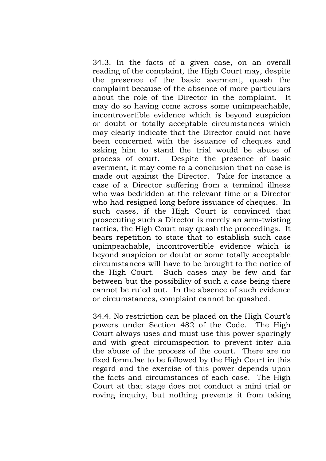34.3. In the facts of a given case, on an overall reading of the complaint, the High Court may, despite the presence of the basic averment, quash the complaint because of the absence of more particulars about the role of the Director in the complaint. It may do so having come across some unimpeachable, incontrovertible evidence which is beyond suspicion or doubt or totally acceptable circumstances which may clearly indicate that the Director could not have been concerned with the issuance of cheques and asking him to stand the trial would be abuse of process of court. Despite the presence of basic averment, it may come to a conclusion that no case is made out against the Director. Take for instance a case of a Director suffering from a terminal illness who was bedridden at the relevant time or a Director who had resigned long before issuance of cheques. In such cases, if the High Court is convinced that prosecuting such a Director is merely an arm-twisting tactics, the High Court may quash the proceedings. It bears repetition to state that to establish such case unimpeachable, incontrovertible evidence which is beyond suspicion or doubt or some totally acceptable circumstances will have to be brought to the notice of the High Court. Such cases may be few and far between but the possibility of such a case being there cannot be ruled out. In the absence of such evidence or circumstances, complaint cannot be quashed.

34.4. No restriction can be placed on the High Court's powers under Section 482 of the Code. The High Court always uses and must use this power sparingly and with great circumspection to prevent inter alia the abuse of the process of the court. There are no fixed formulae to be followed by the High Court in this regard and the exercise of this power depends upon the facts and circumstances of each case. The High Court at that stage does not conduct a mini trial or roving inquiry, but nothing prevents it from taking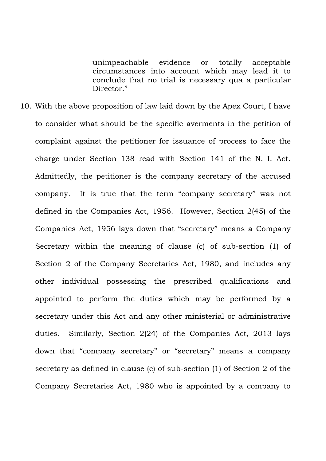unimpeachable evidence or totally acceptable circumstances into account which may lead it to conclude that no trial is necessary qua a particular Director."

10. With the above proposition of law laid down by the Apex Court, I have to consider what should be the specific averments in the petition of complaint against the petitioner for issuance of process to face the charge under Section 138 read with Section 141 of the N. I. Act. Admittedly, the petitioner is the company secretary of the accused company. It is true that the term "company secretary" was not defined in the Companies Act, 1956. However, Section 2(45) of the Companies Act, 1956 lays down that "secretary" means a Company Secretary within the meaning of clause (c) of sub-section (1) of Section 2 of the Company Secretaries Act, 1980, and includes any other individual possessing the prescribed qualifications and appointed to perform the duties which may be performed by a secretary under this Act and any other ministerial or administrative duties. Similarly, Section 2(24) of the Companies Act, 2013 lays down that "company secretary" or "secretary" means a company secretary as defined in clause (c) of sub-section (1) of Section 2 of the Company Secretaries Act, 1980 who is appointed by a company to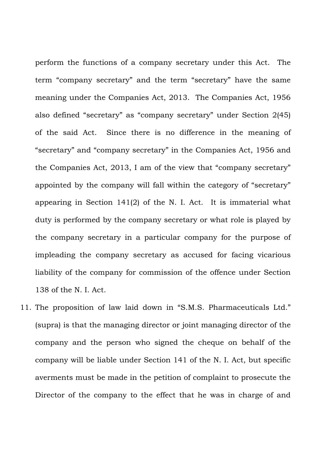perform the functions of a company secretary under this Act. The term "company secretary" and the term "secretary" have the same meaning under the Companies Act, 2013. The Companies Act, 1956 also defined "secretary" as "company secretary" under Section 2(45) of the said Act. Since there is no difference in the meaning of "secretary" and "company secretary" in the Companies Act, 1956 and the Companies Act, 2013, I am of the view that "company secretary" appointed by the company will fall within the category of "secretary" appearing in Section 141(2) of the N. I. Act. It is immaterial what duty is performed by the company secretary or what role is played by the company secretary in a particular company for the purpose of impleading the company secretary as accused for facing vicarious liability of the company for commission of the offence under Section 138 of the N. I. Act.

11. The proposition of law laid down in "S.M.S. Pharmaceuticals Ltd." (supra) is that the managing director or joint managing director of the company and the person who signed the cheque on behalf of the company will be liable under Section 141 of the N. I. Act, but specific averments must be made in the petition of complaint to prosecute the Director of the company to the effect that he was in charge of and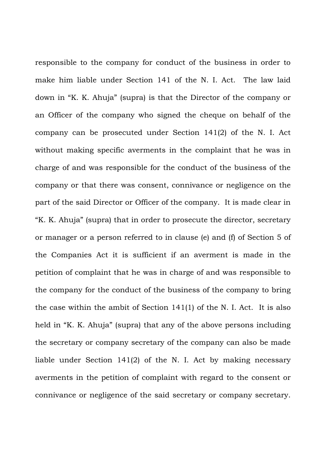responsible to the company for conduct of the business in order to make him liable under Section 141 of the N. I. Act. The law laid down in "K. K. Ahuja" (supra) is that the Director of the company or an Officer of the company who signed the cheque on behalf of the company can be prosecuted under Section 141(2) of the N. I. Act without making specific averments in the complaint that he was in charge of and was responsible for the conduct of the business of the company or that there was consent, connivance or negligence on the part of the said Director or Officer of the company. It is made clear in "K. K. Ahuja" (supra) that in order to prosecute the director, secretary or manager or a person referred to in clause (e) and (f) of Section 5 of the Companies Act it is sufficient if an averment is made in the petition of complaint that he was in charge of and was responsible to the company for the conduct of the business of the company to bring the case within the ambit of Section 141(1) of the N. I. Act. It is also held in "K. K. Ahuja" (supra) that any of the above persons including the secretary or company secretary of the company can also be made liable under Section 141(2) of the N. I. Act by making necessary averments in the petition of complaint with regard to the consent or connivance or negligence of the said secretary or company secretary.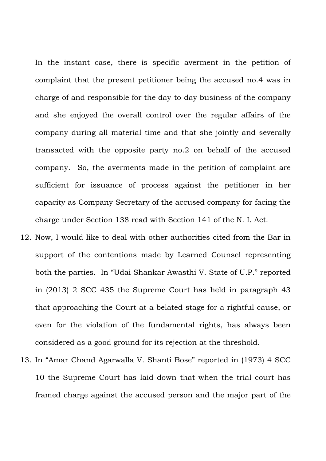In the instant case, there is specific averment in the petition of complaint that the present petitioner being the accused no.4 was in charge of and responsible for the day-to-day business of the company and she enjoyed the overall control over the regular affairs of the company during all material time and that she jointly and severally transacted with the opposite party no.2 on behalf of the accused company. So, the averments made in the petition of complaint are sufficient for issuance of process against the petitioner in her capacity as Company Secretary of the accused company for facing the charge under Section 138 read with Section 141 of the N. I. Act.

- 12. Now, I would like to deal with other authorities cited from the Bar in support of the contentions made by Learned Counsel representing both the parties. In "Udai Shankar Awasthi V. State of U.P." reported in (2013) 2 SCC 435 the Supreme Court has held in paragraph 43 that approaching the Court at a belated stage for a rightful cause, or even for the violation of the fundamental rights, has always been considered as a good ground for its rejection at the threshold.
- 13. In "Amar Chand Agarwalla V. Shanti Bose" reported in (1973) 4 SCC 10 the Supreme Court has laid down that when the trial court has framed charge against the accused person and the major part of the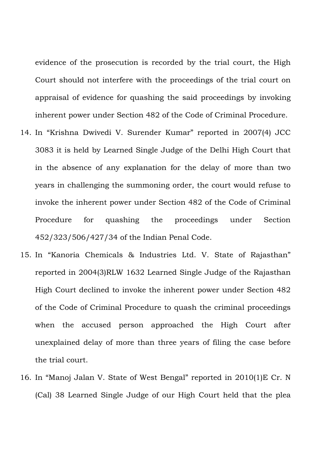evidence of the prosecution is recorded by the trial court, the High Court should not interfere with the proceedings of the trial court on appraisal of evidence for quashing the said proceedings by invoking inherent power under Section 482 of the Code of Criminal Procedure.

- 14. In "Krishna Dwivedi V. Surender Kumar" reported in 2007(4) JCC 3083 it is held by Learned Single Judge of the Delhi High Court that in the absence of any explanation for the delay of more than two years in challenging the summoning order, the court would refuse to invoke the inherent power under Section 482 of the Code of Criminal Procedure for quashing the proceedings under Section 452/323/506/427/34 of the Indian Penal Code.
- 15. In "Kanoria Chemicals & Industries Ltd. V. State of Rajasthan" reported in 2004(3)RLW 1632 Learned Single Judge of the Rajasthan High Court declined to invoke the inherent power under Section 482 of the Code of Criminal Procedure to quash the criminal proceedings when the accused person approached the High Court after unexplained delay of more than three years of filing the case before the trial court.
- 16. In "Manoj Jalan V. State of West Bengal" reported in 2010(1)E Cr. N (Cal) 38 Learned Single Judge of our High Court held that the plea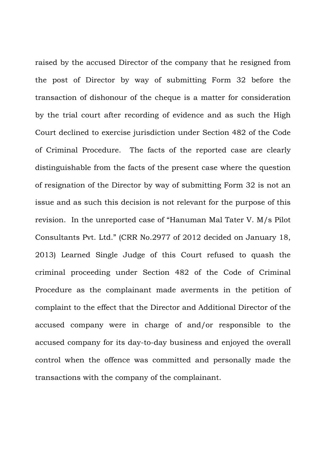raised by the accused Director of the company that he resigned from the post of Director by way of submitting Form 32 before the transaction of dishonour of the cheque is a matter for consideration by the trial court after recording of evidence and as such the High Court declined to exercise jurisdiction under Section 482 of the Code of Criminal Procedure. The facts of the reported case are clearly distinguishable from the facts of the present case where the question of resignation of the Director by way of submitting Form 32 is not an issue and as such this decision is not relevant for the purpose of this revision. In the unreported case of "Hanuman Mal Tater V. M/s Pilot Consultants Pvt. Ltd." (CRR No.2977 of 2012 decided on January 18, 2013) Learned Single Judge of this Court refused to quash the criminal proceeding under Section 482 of the Code of Criminal Procedure as the complainant made averments in the petition of complaint to the effect that the Director and Additional Director of the accused company were in charge of and/or responsible to the accused company for its day-to-day business and enjoyed the overall control when the offence was committed and personally made the transactions with the company of the complainant.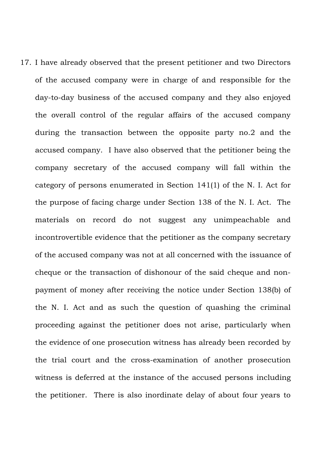17. I have already observed that the present petitioner and two Directors of the accused company were in charge of and responsible for the day-to-day business of the accused company and they also enjoyed the overall control of the regular affairs of the accused company during the transaction between the opposite party no.2 and the accused company. I have also observed that the petitioner being the company secretary of the accused company will fall within the category of persons enumerated in Section 141(1) of the N. I. Act for the purpose of facing charge under Section 138 of the N. I. Act. The materials on record do not suggest any unimpeachable and incontrovertible evidence that the petitioner as the company secretary of the accused company was not at all concerned with the issuance of cheque or the transaction of dishonour of the said cheque and nonpayment of money after receiving the notice under Section 138(b) of the N. I. Act and as such the question of quashing the criminal proceeding against the petitioner does not arise, particularly when the evidence of one prosecution witness has already been recorded by the trial court and the cross-examination of another prosecution witness is deferred at the instance of the accused persons including the petitioner. There is also inordinate delay of about four years to